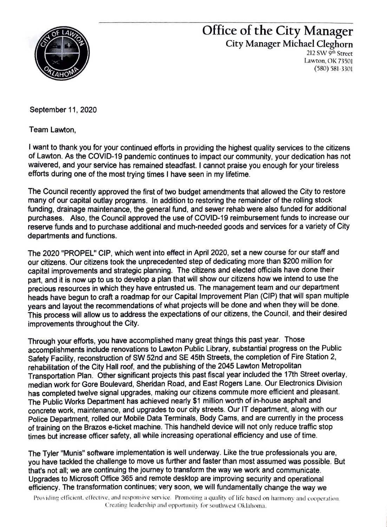

## Office of the City Manager City Manager Michael Cleghorn

212 SW 9th Street Lawton, OK 73501 (580) 581-3301

September 11, 2020

Team Lawton,

I want to thank you for your continued efforts in providing the highest quality services to the citizens of Lawton. As the COVID-19 pandemic continues to impact our community, your dedication has not waivered, and your service has remained steadfast. I cannot praise you enough for your tireless efforts during one of the most trying times I have seen in my lifetime.

The Council recently approved the first of two budget amendments that allowed the City to restore many of our capital outlay programs. In addition to restoring the remainder of the rolling stock funding, drainage maintenance, the general fund, and sewer rehab were also funded for additional purchases. Also, the Council approved the use of COVID-19 reimbursement funds to increase our reserve funds and to purchase additional and much-needed goods and services for a variety of City departments and functions.

The 2020 "PROPEL" CIP, which went into effect in April 2020, set a new course for our staff and our citizens. Our citizens took the unprecedented step of dedicating more than \$200 million for capital improvements and strategic planning. The citizens and elected officials have done their part, and it is now up to us to develop a plan that will show our citizens how we intend to use the precious resources in which they have entrusted us. The management team and our department heads have begun to craft a roadmap for our Capital Improvement Plan (CIP) that will span multiple years and layout the recommendations of what projects will be done and when they will be done. This process will allow us to address the expectations of our citizens, the Council, and their desired improvements throughout the City.

Through your efforts, you have accomplished many great things this past year. Those accomplishments include renovations to Lawton Public Library, substantial progress on the Public Safety Facility, reconstruction of SW 52nd and SE 45th Streets, the completion of Fire Station 2, rehabilitation of the City Hall roof, and the publishing of the 2045 Lawton Metropolitan Transportation Plan. Other significant projects this past fiscal year included the 17th Street overlay, median work for Gore Boulevard, Sheridan Road, and East Rogers Lane. Our Electronics Division has completed twelve signal upgrades, making our citizens commute more efficient and pleasant. The Public Works Department has achieved nearly \$1 million worth of in-house asphalt and concrete work, maintenance, and upgrades to our city streets. Our IT department, along with our Police Department, rolled our Mobile Data Terminals, Body Cams, and are currently in the process of training on the Brazos e-ticket machine. This handheld device will not only reduce traffic stop times but increase officer safety, all while increasing operational efficiency and use of time.

The Tyler "Munis" software implementation is well underway. Like the true professionals you are, you have tackled the challenge to move us further and faster than most assumed was possible. But that's not all; we are continuing the journey to transform the way we work and communicate. Upgrades to Microsoft Office 365 and remote desktop are improving security and operational efficiency. The transformation continues; very soon, we will fundamentally change the way we